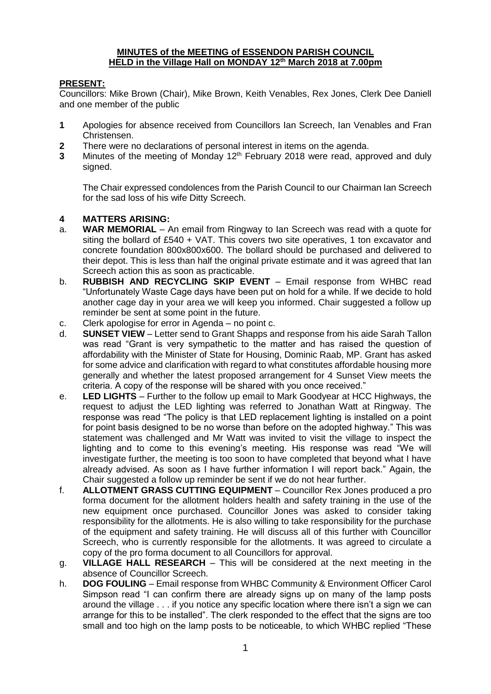### **MINUTES of the MEETING of ESSENDON PARISH COUNCIL HELD in the Village Hall on MONDAY 12th March 2018 at 7.00pm**

## **PRESENT:**

Councillors: Mike Brown (Chair), Mike Brown, Keith Venables, Rex Jones, Clerk Dee Daniell and one member of the public

- **1** Apologies for absence received from Councillors Ian Screech, Ian Venables and Fran Christensen.
- **2** There were no declarations of personal interest in items on the agenda.
- **3** Minutes of the meeting of Monday 12<sup>th</sup> February 2018 were read, approved and duly signed.

The Chair expressed condolences from the Parish Council to our Chairman Ian Screech for the sad loss of his wife Ditty Screech.

## **4 MATTERS ARISING:**

- a. **WAR MEMORIAL** An email from Ringway to Ian Screech was read with a quote for siting the bollard of £540 + VAT. This covers two site operatives, 1 ton excavator and concrete foundation 800x800x600. The bollard should be purchased and delivered to their depot. This is less than half the original private estimate and it was agreed that Ian Screech action this as soon as practicable.
- b. **RUBBISH AND RECYCLING SKIP EVENT** Email response from WHBC read "Unfortunately Waste Cage days have been put on hold for a while. If we decide to hold another cage day in your area we will keep you informed. Chair suggested a follow up reminder be sent at some point in the future.
- c. Clerk apologise for error in Agenda no point c.
- d. **SUNSET VIEW** Letter send to Grant Shapps and response from his aide Sarah Tallon was read "Grant is very sympathetic to the matter and has raised the question of affordability with the Minister of State for Housing, Dominic Raab, MP. Grant has asked for some advice and clarification with regard to what constitutes affordable housing more generally and whether the latest proposed arrangement for 4 Sunset View meets the criteria. A copy of the response will be shared with you once received."
- e. **LED LIGHTS** Further to the follow up email to Mark Goodyear at HCC Highways, the request to adjust the LED lighting was referred to Jonathan Watt at Ringway. The response was read "The policy is that LED replacement lighting is installed on a point for point basis designed to be no worse than before on the adopted highway." This was statement was challenged and Mr Watt was invited to visit the village to inspect the lighting and to come to this evening's meeting. His response was read "We will investigate further, the meeting is too soon to have completed that beyond what I have already advised. As soon as I have further information I will report back." Again, the Chair suggested a follow up reminder be sent if we do not hear further.
- f. **ALLOTMENT GRASS CUTTING EQUIPMENT** Councillor Rex Jones produced a pro forma document for the allotment holders health and safety training in the use of the new equipment once purchased. Councillor Jones was asked to consider taking responsibility for the allotments. He is also willing to take responsibility for the purchase of the equipment and safety training. He will discuss all of this further with Councillor Screech, who is currently responsible for the allotments. It was agreed to circulate a copy of the pro forma document to all Councillors for approval.
- g. **VILLAGE HALL RESEARCH** This will be considered at the next meeting in the absence of Councillor Screech.
- h. **DOG FOULING**  Email response from WHBC Community & Environment Officer Carol Simpson read "I can confirm there are already signs up on many of the lamp posts around the village . . . if you notice any specific location where there isn't a sign we can arrange for this to be installed". The clerk responded to the effect that the signs are too small and too high on the lamp posts to be noticeable, to which WHBC replied "These